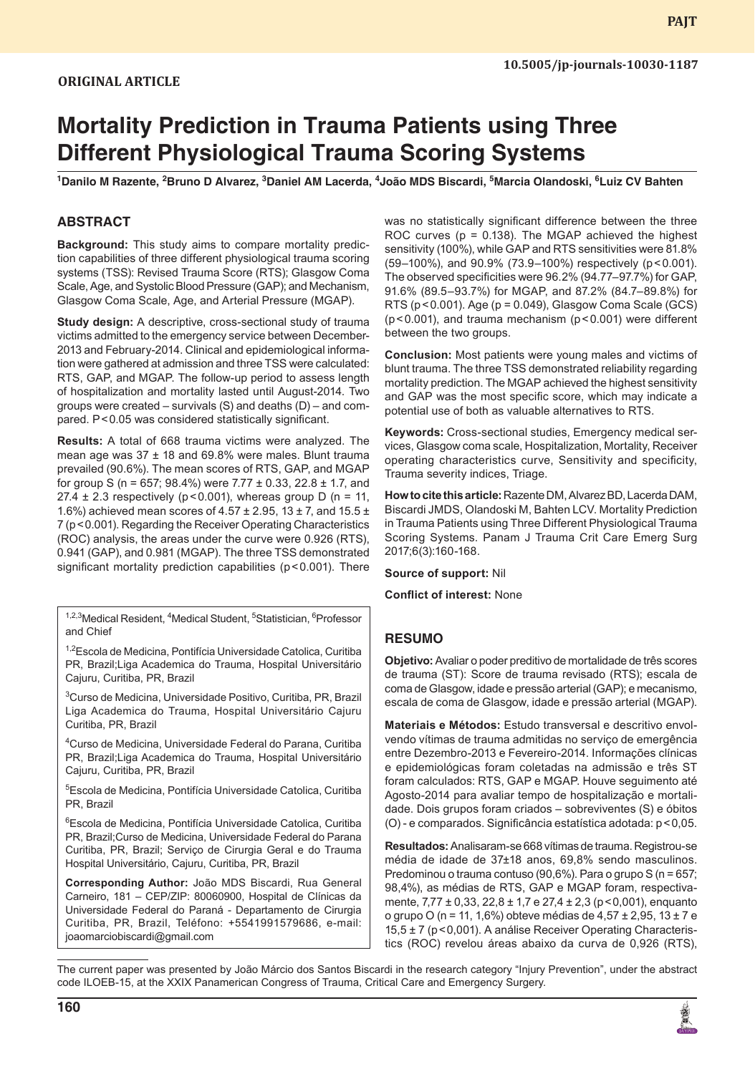# **Mortality Prediction in Trauma Patients using Three Different Physiological Trauma Scoring Systems**

<sup>1</sup>Danilo M Razente, <sup>2</sup>Bruno D Alvarez, <sup>3</sup>Daniel AM Lacerda, <sup>4</sup>João MDS Biscardi, <sup>5</sup>Marcia Olandoski, <sup>6</sup>Luiz CV Bahten

# **ABSTRACT**

**Background:** This study aims to compare mortality prediction capabilities of three different physiological trauma scoring systems (TSS): Revised Trauma Score (RTS); Glasgow Coma Scale, Age, and Systolic Blood Pressure (GAP); and Mechanism, Glasgow Coma Scale, Age, and Arterial Pressure (MGAP).

**Study design:** A descriptive, cross-sectional study of trauma victims admitted to the emergency service between December-2013 and February-2014. Clinical and epidemiological information were gathered at admission and three TSS were calculated: RTS, GAP, and MGAP. The follow-up period to assess length of hospitalization and mortality lasted until August-2014. Two groups were created – survivals (S) and deaths (D) – and compared. P<0.05 was considered statistically significant.

**Results:** A total of 668 trauma victims were analyzed. The mean age was  $37 \pm 18$  and 69.8% were males. Blunt trauma prevailed (90.6%). The mean scores of RTS, GAP, and MGAP for group S (n = 657; 98.4%) were  $7.77 \pm 0.33$ , 22.8  $\pm$  1.7, and 27.4  $\pm$  2.3 respectively (p < 0.001), whereas group D (n = 11, 1.6%) achieved mean scores of 4.57  $\pm$  2.95, 13  $\pm$  7, and 15.5  $\pm$ 7 (p<0.001). Regarding the Receiver Operating Characteristics (ROC) analysis, the areas under the curve were 0.926 (RTS), 0.941 (GAP), and 0.981 (MGAP). The three TSS demonstrated significant mortality prediction capabilities (p<0.001). There

<sup>1,2,3</sup>Medical Resident, <sup>4</sup>Medical Student, <sup>5</sup>Statistician, <sup>6</sup>Professor and Chief

<sup>1,2</sup>Escola de Medicina, Pontifícia Universidade Catolica, Curitiba PR, Brazil;Liga Academica do Trauma, Hospital Universitário Cajuru, Curitiba, PR, Brazil

3 Curso de Medicina, Universidade Positivo, Curitiba, PR, Brazil Liga Academica do Trauma, Hospital Universitário Cajuru Curitiba, PR, Brazil

4 Curso de Medicina, Universidade Federal do Parana, Curitiba PR, Brazil;Liga Academica do Trauma, Hospital Universitário Cajuru, Curitiba, PR, Brazil

5 Escola de Medicina, Pontifícia Universidade Catolica, Curitiba PR, Brazil

6 Escola de Medicina, Pontifícia Universidade Catolica, Curitiba PR, Brazil;Curso de Medicina, Universidade Federal do Parana Curitiba, PR, Brazil; Serviço de Cirurgia Geral e do Trauma Hospital Universitário, Cajuru, Curitiba, PR, Brazil

**Corresponding Author:** João MDS Biscardi, Rua General Carneiro, 181 – CEP/ZIP: 80060900, Hospital de Clínicas da Universidade Federal do Paraná - Departamento de Cirurgia Curitiba, PR, Brazil, Teléfono: +5541991579686, e-mail: joaomarciobiscardi@gmail.com

was no statistically significant difference between the three ROC curves ( $p = 0.138$ ). The MGAP achieved the highest sensitivity (100%), while GAP and RTS sensitivities were 81.8% (59–100%), and 90.9% (73.9–100%) respectively (p<0.001). The observed specificities were 96.2% (94.77–97.7%) for GAP, 91.6% (89.5–93.7%) for MGAP, and 87.2% (84.7–89.8%) for RTS ( $p < 0.001$ ). Age ( $p = 0.049$ ), Glasgow Coma Scale (GCS) (p<0.001), and trauma mechanism (p<0.001) were different between the two groups.

**Conclusion:** Most patients were young males and victims of blunt trauma. The three TSS demonstrated reliability regarding mortality prediction. The MGAP achieved the highest sensitivity and GAP was the most specific score, which may indicate a potential use of both as valuable alternatives to RTS.

**Keywords:** Cross-sectional studies, Emergency medical services, Glasgow coma scale, Hospitalization, Mortality, Receiver operating characteristics curve, Sensitivity and specificity, Trauma severity indices, Triage.

**How to cite this article:** Razente DM, Alvarez BD, Lacerda DAM, Biscardi JMDS, Olandoski M, Bahten LCV. Mortality Prediction in Trauma Patients using Three Different Physiological Trauma Scoring Systems. Panam J Trauma Crit Care Emerg Surg 2017;6(3):160-168.

**Source of support:** Nil

**Conflict of interest:** None

## **RESUMO**

**Objetivo:** Avaliar o poder preditivo de mortalidade de três scores de trauma (ST): Score de trauma revisado (RTS); escala de coma de Glasgow, idade e pressão arterial (GAP); e mecanismo, escala de coma de Glasgow, idade e pressão arterial (MGAP).

**Materiais e Métodos:** Estudo transversal e descritivo envolvendo vítimas de trauma admitidas no serviço de emergência entre Dezembro-2013 e Fevereiro-2014. Informações clínicas e epidemiológicas foram coletadas na admissão e três ST foram calculados: RTS, GAP e MGAP. Houve seguimento até Agosto-2014 para avaliar tempo de hospitalização e mortalidade. Dois grupos foram criados – sobreviventes (S) e óbitos (O) - e comparados. Significância estatística adotada: p<0,05.

**Resultados:** Analisaram-se 668 vítimas de trauma. Registrou-se média de idade de 37±18 anos, 69,8% sendo masculinos. Predominou o trauma contuso (90,6%). Para o grupo S (n = 657; 98,4%), as médias de RTS, GAP e MGAP foram, respectivamente, 7,77 ± 0,33, 22,8 ± 1,7 e 27,4 ± 2,3 (p<0,001), enquanto o grupo O (n = 11, 1,6%) obteve médias de 4,57 ± 2,95, 13 ± 7 e 15,5 ± 7 (p<0,001). A análise Receiver Operating Characteristics (ROC) revelou áreas abaixo da curva de 0,926 (RTS),

The current paper was presented by João Márcio dos Santos Biscardi in the research category "Injury Prevention", under the abstract code ILOEB-15, at the XXIX Panamerican Congress of Trauma, Critical Care and Emergency Surgery.

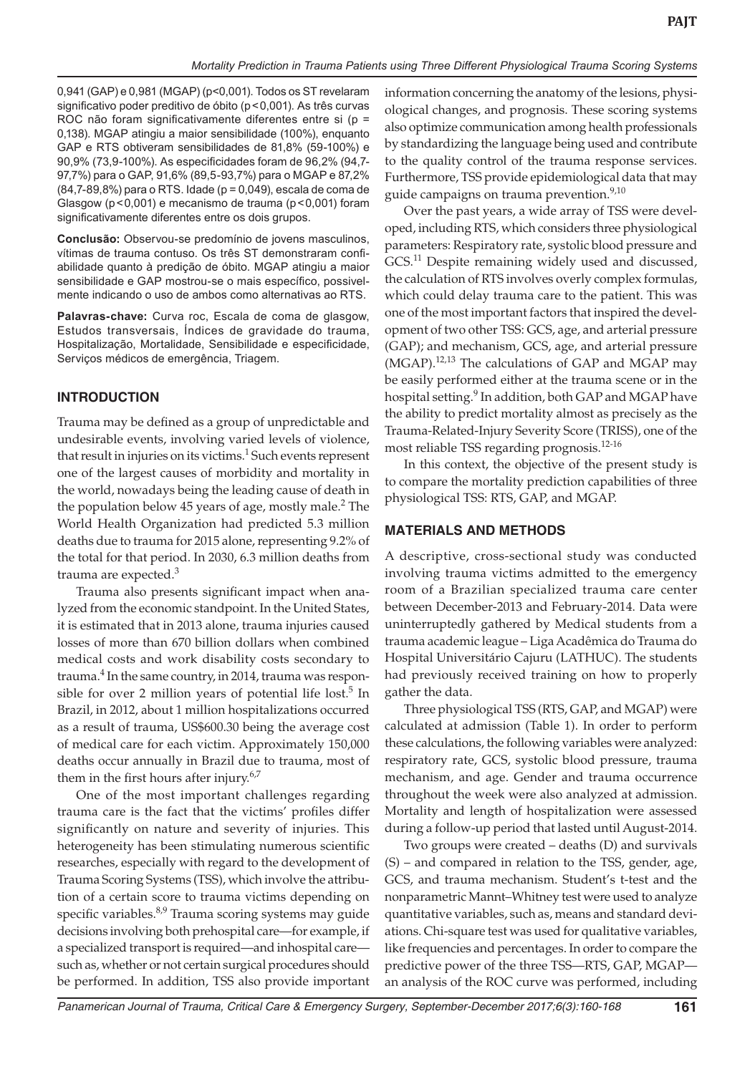0,941 (GAP) e 0,981 (MGAP) (p<0,001). Todos os ST revelaram significativo poder preditivo de óbito (p<0,001). As três curvas ROC não foram significativamente diferentes entre si (p = 0,138). MGAP atingiu a maior sensibilidade (100%), enquanto GAP e RTS obtiveram sensibilidades de 81,8% (59-100%) e 90,9% (73,9-100%). As especificidades foram de 96,2% (94,7- 97,7%) para o GAP, 91,6% (89,5-93,7%) para o MGAP e 87,2% (84,7-89,8%) para o RTS. Idade (p = 0,049), escala de coma de Glasgow (p<0,001) e mecanismo de trauma (p<0,001) foram significativamente diferentes entre os dois grupos.

**Conclusão:** Observou-se predomínio de jovens masculinos, vítimas de trauma contuso. Os três ST demonstraram confiabilidade quanto à predição de óbito. MGAP atingiu a maior sensibilidade e GAP mostrou-se o mais específico, possivelmente indicando o uso de ambos como alternativas ao RTS.

**Palavras-chave:** Curva roc, Escala de coma de glasgow, Estudos transversais, Índices de gravidade do trauma, Hospitalização, Mortalidade, Sensibilidade e especificidade, Serviços médicos de emergência, Triagem.

# **INTRODUCTION**

Trauma may be defined as a group of unpredictable and undesirable events, involving varied levels of violence, that result in injuries on its victims.<sup>1</sup> Such events represent one of the largest causes of morbidity and mortality in the world, nowadays being the leading cause of death in the population below 45 years of age, mostly male. $2$  The World Health Organization had predicted 5.3 million deaths due to trauma for 2015 alone, representing 9.2% of the total for that period. In 2030, 6.3 million deaths from trauma are expected. $3$ 

Trauma also presents significant impact when analyzed from the economic standpoint. In the United States, it is estimated that in 2013 alone, trauma injuries caused losses of more than 670 billion dollars when combined medical costs and work disability costs secondary to trauma.<sup>4</sup> In the same country, in 2014, trauma was responsible for over 2 million years of potential life lost.<sup>5</sup> In Brazil, in 2012, about 1 million hospitalizations occurred as a result of trauma, US\$600.30 being the average cost of medical care for each victim. Approximately 150,000 deaths occur annually in Brazil due to trauma, most of them in the first hours after injury.<sup>6,7</sup>

One of the most important challenges regarding trauma care is the fact that the victims' profiles differ significantly on nature and severity of injuries. This heterogeneity has been stimulating numerous scientific researches, especially with regard to the development of Trauma Scoring Systems (TSS), which involve the attribution of a certain score to trauma victims depending on specific variables.<sup>8,9</sup> Trauma scoring systems may guide decisions involving both prehospital care—for example, if a specialized transport is required—and inhospital care such as, whether or not certain surgical procedures should be performed. In addition, TSS also provide important

information concerning the anatomy of the lesions, physiological changes, and prognosis. These scoring systems also optimize communication among health professionals by standardizing the language being used and contribute to the quality control of the trauma response services. Furthermore, TSS provide epidemiological data that may guide campaigns on trauma prevention.<sup>9,10</sup>

Over the past years, a wide array of TSS were developed, including RTS, which considers three physiological parameters: Respiratory rate, systolic blood pressure and GCS.<sup>11</sup> Despite remaining widely used and discussed, the calculation of RTS involves overly complex formulas, which could delay trauma care to the patient. This was one of the most important factors that inspired the development of two other TSS: GCS, age, and arterial pressure (GAP); and mechanism, GCS, age, and arterial pressure  $(MGAP).$ <sup>12,13</sup> The calculations of GAP and MGAP may be easily performed either at the trauma scene or in the hospital setting.<sup>9</sup> In addition, both GAP and MGAP have the ability to predict mortality almost as precisely as the Trauma-Related-Injury Severity Score (TRISS), one of the most reliable TSS regarding prognosis.<sup>12-16</sup>

In this context, the objective of the present study is to compare the mortality prediction capabilities of three physiological TSS: RTS, GAP, and MGAP.

## **Materials and mETHODS**

A descriptive, cross-sectional study was conducted involving trauma victims admitted to the emergency room of a Brazilian specialized trauma care center between December-2013 and February-2014. Data were uninterruptedly gathered by Medical students from a trauma academic league – Liga Acadêmica do Trauma do Hospital Universitário Cajuru (LATHUC). The students had previously received training on how to properly gather the data.

Three physiological TSS (RTS, GAP, and MGAP) were calculated at admission (Table 1). In order to perform these calculations, the following variables were analyzed: respiratory rate, GCS, systolic blood pressure, trauma mechanism, and age. Gender and trauma occurrence throughout the week were also analyzed at admission. Mortality and length of hospitalization were assessed during a follow-up period that lasted until August-2014.

Two groups were created – deaths (D) and survivals (S) – and compared in relation to the TSS, gender, age, GCS, and trauma mechanism. Student's t-test and the nonparametric Mannt–Whitney test were used to analyze quantitative variables, such as, means and standard deviations. Chi-square test was used for qualitative variables, like frequencies and percentages. In order to compare the predictive power of the three TSS—RTS, GAP, MGAP an analysis of the ROC curve was performed, including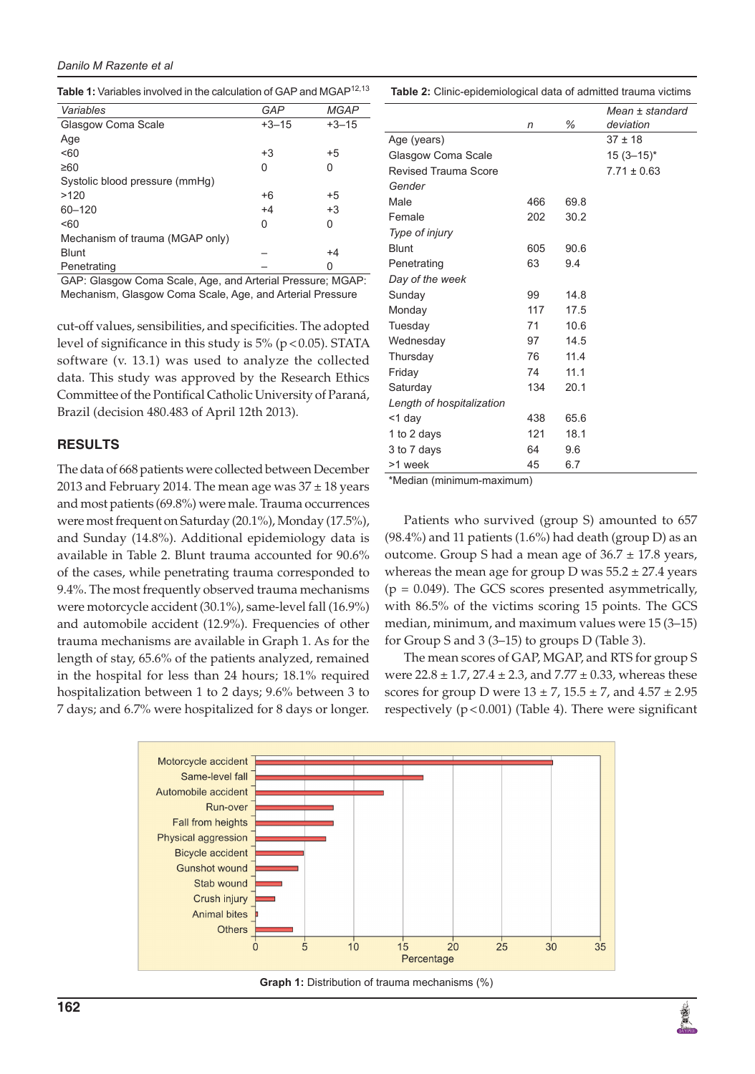## *Danilo M Razente et al*

Table 1: Variables involved in the calculation of GAP and MGAP<sup>12,13</sup>

| Variables                       | GAP     | <b>MGAP</b> |
|---------------------------------|---------|-------------|
| Glasgow Coma Scale              | $+3-15$ | $+3-15$     |
| Age                             |         |             |
| < 60                            | +3      | $+5$        |
| ≥60                             | 0       | 0           |
| Systolic blood pressure (mmHq)  |         |             |
| >120                            | +6      | $+5$        |
| 60-120                          | $+4$    | $+3$        |
| < 60                            | 0       | 0           |
| Mechanism of trauma (MGAP only) |         |             |
| <b>Blunt</b>                    |         | $+4$        |
| Penetrating                     |         | ი           |

GAP: Glasgow Coma Scale, Age, and Arterial Pressure; MGAP: Mechanism, Glasgow Coma Scale, Age, and Arterial Pressure

cut-off values, sensibilities, and specificities. The adopted level of significance in this study is  $5\%$  ( $p < 0.05$ ). STATA software (v. 13.1) was used to analyze the collected data. This study was approved by the Research Ethics Committee of the Pontifical Catholic University of Paraná, Brazil (decision 480.483 of April 12th 2013).

## **RESULTS**

The data of 668 patients were collected between December 2013 and February 2014. The mean age was  $37 \pm 18$  years and most patients (69.8%) were male. Trauma occurrences were most frequent on Saturday (20.1%), Monday (17.5%), and Sunday (14.8%). Additional epidemiology data is available in Table 2. Blunt trauma accounted for 90.6% of the cases, while penetrating trauma corresponded to 9.4%. The most frequently observed trauma mechanisms were motorcycle accident (30.1%), same-level fall (16.9%) and automobile accident (12.9%). Frequencies of other trauma mechanisms are available in Graph 1. As for the length of stay, 65.6% of the patients analyzed, remained in the hospital for less than 24 hours; 18.1% required hospitalization between 1 to 2 days; 9.6% between 3 to 7 days; and 6.7% were hospitalized for 8 days or longer.

|                             | n   | %    | $Mean \pm standard$<br>deviation |
|-----------------------------|-----|------|----------------------------------|
| Age (years)                 |     |      | $37 \pm 18$                      |
| Glasgow Coma Scale          |     |      | $15(3 - 15)^{*}$                 |
| <b>Revised Trauma Score</b> |     |      | $7.71 \pm 0.63$                  |
| Gender                      |     |      |                                  |
| Male                        | 466 | 69.8 |                                  |
| Female                      | 202 | 30.2 |                                  |
| Type of injury              |     |      |                                  |
| <b>Blunt</b>                | 605 | 90.6 |                                  |
| Penetrating                 | 63  | 9.4  |                                  |
| Day of the week             |     |      |                                  |
| Sunday                      | 99  | 14.8 |                                  |
| Monday                      | 117 | 17.5 |                                  |
| Tuesday                     | 71  | 10.6 |                                  |
| Wednesday                   | 97  | 14.5 |                                  |
| Thursday                    | 76  | 11.4 |                                  |
| Friday                      | 74  | 11.1 |                                  |
| Saturday                    | 134 | 20.1 |                                  |
| Length of hospitalization   |     |      |                                  |
| <1 day                      | 438 | 65.6 |                                  |
| 1 to 2 days                 | 121 | 18.1 |                                  |
| 3 to 7 days                 | 64  | 9.6  |                                  |
| >1 week                     | 45  | 6.7  |                                  |
| .<br>$\cdot$                |     |      |                                  |

**Table 2:** Clinic-epidemiological data of admitted trauma victims

\*Median (minimum-maximum)

Patients who survived (group S) amounted to 657 (98.4%) and 11 patients (1.6%) had death (group D) as an outcome. Group S had a mean age of  $36.7 \pm 17.8$  years, whereas the mean age for group D was  $55.2 \pm 27.4$  years  $(p = 0.049)$ . The GCS scores presented asymmetrically, with 86.5% of the victims scoring 15 points. The GCS median, minimum, and maximum values were 15 (3–15) for Group S and 3 (3–15) to groups D (Table 3).

The mean scores of GAP, MGAP, and RTS for group S were  $22.8 \pm 1.7$ ,  $27.4 \pm 2.3$ , and  $7.77 \pm 0.33$ , whereas these scores for group D were  $13 \pm 7$ ,  $15.5 \pm 7$ , and  $4.57 \pm 2.95$ respectively (p<0.001) (Table 4). There were significant



**Graph 1:** Distribution of trauma mechanisms (%)

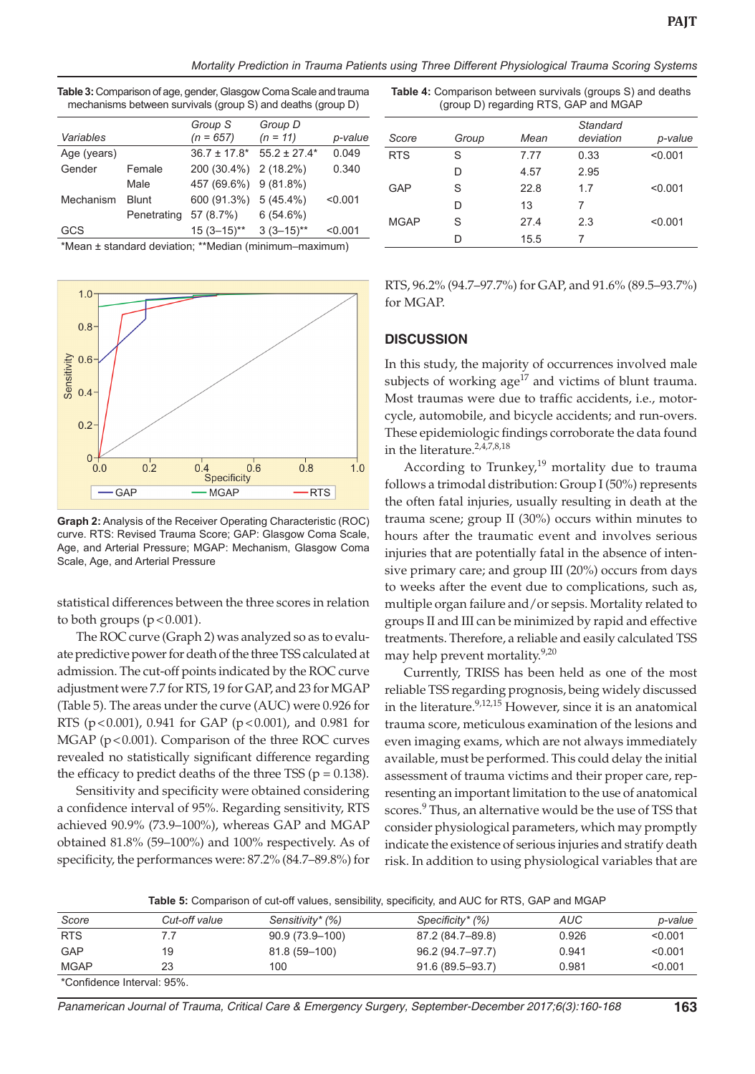*Mortality Prediction in Trauma Patients using Three Different Physiological Trauma Scoring Systems*

|             |              | Group S               | Group D          |         |
|-------------|--------------|-----------------------|------------------|---------|
| Variables   |              | $(n = 657)$           | $(n = 11)$       | p-value |
| Age (years) |              | $36.7 \pm 17.8^*$     | $55.2 \pm 27.4*$ | 0.049   |
| Gender      | Female       | 200 (30.4%)           | $2(18.2\%)$      | 0.340   |
|             | Male         | 457 (69.6%) 9 (81.8%) |                  |         |
| Mechanism   | <b>Blunt</b> | 600 (91.3%)           | $5(45.4\%)$      | < 0.001 |
|             | Penetrating  | 57 (8.7%)             | 6(54.6%)         |         |
| GCS         |              | $15(3-15)$ **         | $3(3-15)$ **     | < 0.001 |

**Table 3:** Comparison of age, gender, Glasgow Coma Scale and trauma mechanisms between survivals (group S) and deaths (group D)

\*Mean ± standard deviation; \*\*Median (minimum–maximum)



**Graph 2:** Analysis of the Receiver Operating Characteristic (ROC) curve. RTS: Revised Trauma Score; GAP: Glasgow Coma Scale, Age, and Arterial Pressure; MGAP: Mechanism, Glasgow Coma Scale, Age, and Arterial Pressure

statistical differences between the three scores in relation to both groups  $(p < 0.001)$ .

The ROC curve (Graph 2) was analyzed so as to evaluate predictive power for death of the three TSS calculated at admission. The cut-off points indicated by the ROC curve adjustment were 7.7 for RTS, 19 for GAP, and 23 for MGAP (Table 5). The areas under the curve (AUC) were 0.926 for RTS ( $p < 0.001$ ), 0.941 for GAP ( $p < 0.001$ ), and 0.981 for MGAP (p<0.001). Comparison of the three ROC curves revealed no statistically significant difference regarding the efficacy to predict deaths of the three TSS ( $p = 0.138$ ).

Sensitivity and specificity were obtained considering a confidence interval of 95%. Regarding sensitivity, RTS achieved 90.9% (73.9–100%), whereas GAP and MGAP obtained 81.8% (59–100%) and 100% respectively. As of specificity, the performances were: 87.2% (84.7–89.8%) for

**Table 4:** Comparison between survivals (groups S) and deaths (group D) regarding RTS, GAP and MGAP

| Score       | Group | Mean | Standard<br>deviation | p-value |
|-------------|-------|------|-----------------------|---------|
| <b>RTS</b>  | S     | 7.77 | 0.33                  | < 0.001 |
|             | D     | 4.57 | 2.95                  |         |
| GAP         | S     | 22.8 | 1.7                   | < 0.001 |
|             | D     | 13   | 7                     |         |
| <b>MGAP</b> | S     | 27.4 | 2.3                   | < 0.001 |
|             | D     | 15.5 | 7                     |         |

RTS, 96.2% (94.7–97.7%) for GAP, and 91.6% (89.5–93.7%) for MGAP.

## **DISCUSSION**

In this study, the majority of occurrences involved male subjects of working age<sup>17</sup> and victims of blunt trauma. Most traumas were due to traffic accidents, i.e., motorcycle, automobile, and bicycle accidents; and run-overs. These epidemiologic findings corroborate the data found in the literature.2,4,7,8,18

According to Trunkey,<sup>19</sup> mortality due to trauma follows a trimodal distribution: Group I (50%) represents the often fatal injuries, usually resulting in death at the trauma scene; group II (30%) occurs within minutes to hours after the traumatic event and involves serious injuries that are potentially fatal in the absence of intensive primary care; and group III (20%) occurs from days to weeks after the event due to complications, such as, multiple organ failure and/or sepsis. Mortality related to groups II and III can be minimized by rapid and effective treatments. Therefore, a reliable and easily calculated TSS may help prevent mortality.<sup>9,20</sup>

Currently, TRISS has been held as one of the most reliable TSS regarding prognosis, being widely discussed in the literature.<sup>9,12,15</sup> However, since it is an anatomical trauma score, meticulous examination of the lesions and even imaging exams, which are not always immediately available, must be performed. This could delay the initial assessment of trauma victims and their proper care, representing an important limitation to the use of anatomical scores.<sup>9</sup> Thus, an alternative would be the use of TSS that consider physiological parameters, which may promptly indicate the existence of serious injuries and stratify death risk. In addition to using physiological variables that are

**Table 5:** Comparison of cut-off values, sensibility, specificity, and AUC for RTS, GAP and MGAP

| Score                      | Cut-off value | Sensitivity* (%) | Specificity* (%)    | AUC   | p-value |
|----------------------------|---------------|------------------|---------------------|-------|---------|
| <b>RTS</b>                 |               | 90.9 (73.9–100)  | 87.2 (84.7–89.8)    | 0.926 | < 0.001 |
| <b>GAP</b>                 | 19            | 81.8 (59-100)    | 96.2 (94.7–97.7)    | 0.941 | < 0.001 |
| <b>MGAP</b>                | 23            | 100              | $91.6(89.5 - 93.7)$ | 0.981 | < 0.001 |
| *Confidence Interval: 95%. |               |                  |                     |       |         |

*Panamerican Journal of Trauma, Critical Care & Emergency Surgery, September-December 2017;6(3):160-168* **163**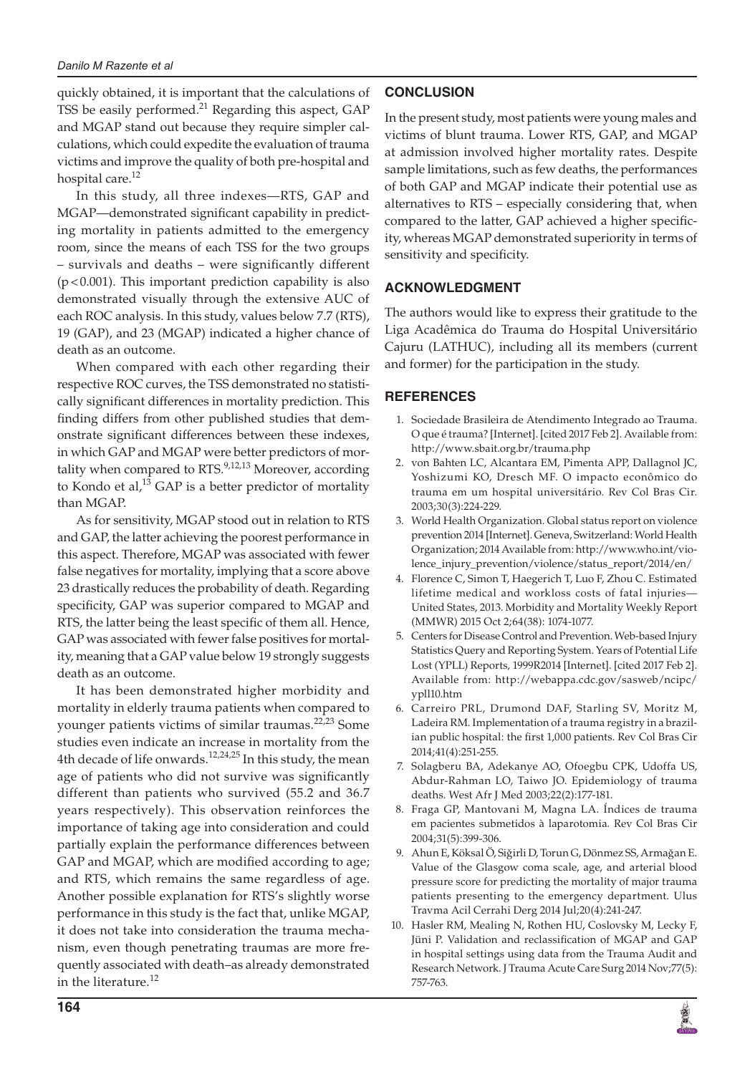#### *Danilo M Razente et al*

quickly obtained, it is important that the calculations of TSS be easily performed.<sup>21</sup> Regarding this aspect, GAP and MGAP stand out because they require simpler calculations, which could expedite the evaluation of trauma victims and improve the quality of both pre-hospital and hospital care.<sup>12</sup>

In this study, all three indexes—RTS, GAP and MGAP—demonstrated significant capability in predicting mortality in patients admitted to the emergency room, since the means of each TSS for the two groups – survivals and deaths – were significantly different (p<0.001). This important prediction capability is also demonstrated visually through the extensive AUC of each ROC analysis. In this study, values below 7.7 (RTS), 19 (GAP), and 23 (MGAP) indicated a higher chance of death as an outcome.

When compared with each other regarding their respective ROC curves, the TSS demonstrated no statistically significant differences in mortality prediction. This finding differs from other published studies that demonstrate significant differences between these indexes, in which GAP and MGAP were better predictors of mortality when compared to RTS.<sup>9,12,13</sup> Moreover, according to Kondo et al, $^{13}$  GAP is a better predictor of mortality than MGAP.

As for sensitivity, MGAP stood out in relation to RTS and GAP, the latter achieving the poorest performance in this aspect. Therefore, MGAP was associated with fewer false negatives for mortality, implying that a score above 23 drastically reduces the probability of death. Regarding specificity, GAP was superior compared to MGAP and RTS, the latter being the least specific of them all. Hence, GAP was associated with fewer false positives for mortality, meaning that a GAP value below 19 strongly suggests death as an outcome.

It has been demonstrated higher morbidity and mortality in elderly trauma patients when compared to younger patients victims of similar traumas.<sup>22,23</sup> Some studies even indicate an increase in mortality from the 4th decade of life onwards.<sup>12,24,25</sup> In this study, the mean age of patients who did not survive was significantly different than patients who survived (55.2 and 36.7 years respectively). This observation reinforces the importance of taking age into consideration and could partially explain the performance differences between GAP and MGAP, which are modified according to age; and RTS, which remains the same regardless of age. Another possible explanation for RTS's slightly worse performance in this study is the fact that, unlike MGAP, it does not take into consideration the trauma mechanism, even though penetrating traumas are more frequently associated with death–as already demonstrated in the literature.<sup>12</sup>

# **CONCLUSION**

In the present study, most patients were young males and victims of blunt trauma. Lower RTS, GAP, and MGAP at admission involved higher mortality rates. Despite sample limitations, such as few deaths, the performances of both GAP and MGAP indicate their potential use as alternatives to RTS – especially considering that, when compared to the latter, GAP achieved a higher specificity, whereas MGAP demonstrated superiority in terms of sensitivity and specificity.

# **ACKNOWLEDGMENT**

The authors would like to express their gratitude to the Liga Acadêmica do Trauma do Hospital Universitário Cajuru (LATHUC), including all its members (current and former) for the participation in the study.

## **REFERENCES**

- 1. Sociedade Brasileira de Atendimento Integrado ao Trauma. O que é trauma? [Internet]. [cited 2017 Feb 2]. Available from: http://www.sbait.org.br/trauma.php
- 2. von Bahten LC, Alcantara EM, Pimenta APP, Dallagnol JC, Yoshizumi KO, Dresch MF. O impacto econômico do trauma em um hospital universitário. Rev Col Bras Cir. 2003;30(3):224-229.
- 3. World Health Organization. Global status report on violence prevention 2014 [Internet]. Geneva, Switzerland: World Health Organization; 2014 Available from: http://www.who.int/violence\_injury\_prevention/violence/status\_report/2014/en/
- 4. Florence C, Simon T, Haegerich T, Luo F, Zhou C. Estimated lifetime medical and workloss costs of fatal injuries— United States, 2013. Morbidity and Mortality Weekly Report (MMWR) 2015 Oct 2;64(38): 1074-1077.
- 5. Centers for Disease Control and Prevention. Web-based Injury Statistics Query and Reporting System. Years of Potential Life Lost (YPLL) Reports, 1999R2014 [Internet]. [cited 2017 Feb 2]. Available from: http://webappa.cdc.gov/sasweb/ncipc/ ypll10.htm
- 6. Carreiro PRL, Drumond DAF, Starling SV, Moritz M, Ladeira RM. Implementation of a trauma registry in a brazilian public hospital: the first 1,000 patients. Rev Col Bras Cir 2014;41(4):251-255.
- 7. Solagberu BA, Adekanye AO, Ofoegbu CPK, Udoffa US, Abdur-Rahman LO, Taiwo JO. Epidemiology of trauma deaths. West Afr J Med 2003;22(2):177-181.
- 8. Fraga GP, Mantovani M, Magna LA. Índices de trauma em pacientes submetidos à laparotomia. Rev Col Bras Cir 2004;31(5):399-306.
- 9. Ahun E, Köksal O, Siğirli D, Torun G, Dönmez SS, Armağan E. Value of the Glasgow coma scale, age, and arterial blood pressure score for predicting the mortality of major trauma patients presenting to the emergency department. Ulus Travma Acil Cerrahi Derg 2014 Jul;20(4):241-247.
- 10. Hasler RM, Mealing N, Rothen HU, Coslovsky M, Lecky F, Jüni P. Validation and reclassification of MGAP and GAP in hospital settings using data from the Trauma Audit and Research Network. J Trauma Acute Care Surg 2014 Nov;77(5): 757-763.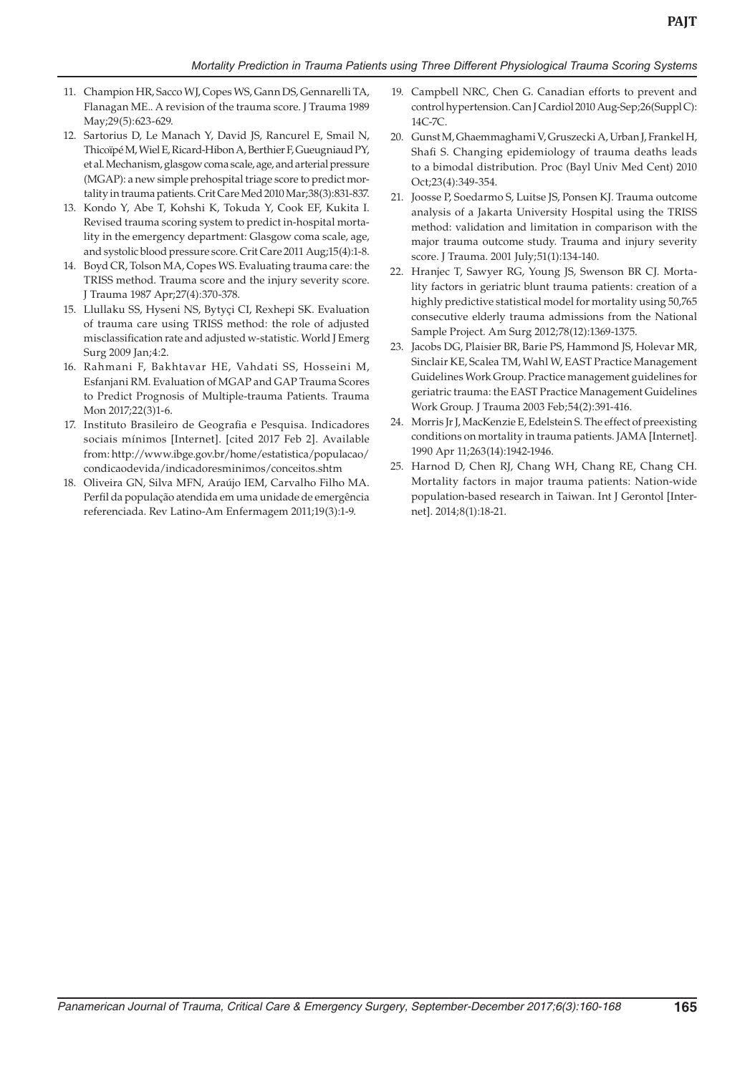- 11. Champion HR, Sacco WJ, Copes WS, Gann DS, Gennarelli TA, Flanagan ME.. A revision of the trauma score. J Trauma 1989 May;29(5):623-629.
- 12. Sartorius D, Le Manach Y, David JS, Rancurel E, Smail N, Thicoïpé M, Wiel E, Ricard-Hibon A, Berthier F, Gueugniaud PY, et al. Mechanism, glasgow coma scale, age, and arterial pressure (MGAP): a new simple prehospital triage score to predict mortality in trauma patients. Crit Care Med 2010 Mar;38(3):831-837.
- 13. Kondo Y, Abe T, Kohshi K, Tokuda Y, Cook EF, Kukita I. Revised trauma scoring system to predict in-hospital mortality in the emergency department: Glasgow coma scale, age, and systolic blood pressure score. Crit Care 2011 Aug;15(4):1-8.
- 14. Boyd CR, Tolson MA, Copes WS. Evaluating trauma care: the TRISS method. Trauma score and the injury severity score. J Trauma 1987 Apr;27(4):370-378.
- 15. Llullaku SS, Hyseni NS, Bytyçi CI, Rexhepi SK. Evaluation of trauma care using TRISS method: the role of adjusted misclassification rate and adjusted w-statistic. World J Emerg Surg 2009 Jan;4:2.
- 16. Rahmani F, Bakhtavar HE, Vahdati SS, Hosseini M, Esfanjani RM. Evaluation of MGAP and GAP Trauma Scores to Predict Prognosis of Multiple-trauma Patients. Trauma Mon 2017;22(3)1-6.
- 17. Instituto Brasileiro de Geografia e Pesquisa. Indicadores sociais mínimos [Internet]. [cited 2017 Feb 2]. Available from: http://www.ibge.gov.br/home/estatistica/populacao/ condicaodevida/indicadoresminimos/conceitos.shtm
- 18. Oliveira GN, Silva MFN, Araújo IEM, Carvalho Filho MA. Perfil da população atendida em uma unidade de emergência referenciada. Rev Latino-Am Enfermagem 2011;19(3):1-9.
- 19. Campbell NRC, Chen G. Canadian efforts to prevent and control hypertension. Can J Cardiol 2010 Aug-Sep;26(Suppl C): 14C-7C.
- 20. Gunst M, Ghaemmaghami V, Gruszecki A, Urban J, Frankel H, Shafi S. Changing epidemiology of trauma deaths leads to a bimodal distribution. Proc (Bayl Univ Med Cent) 2010 Oct;23(4):349-354.
- 21. Joosse P, Soedarmo S, Luitse JS, Ponsen KJ. Trauma outcome analysis of a Jakarta University Hospital using the TRISS method: validation and limitation in comparison with the major trauma outcome study. Trauma and injury severity score. J Trauma. 2001 July;51(1):134-140.
- 22. Hranjec T, Sawyer RG, Young JS, Swenson BR CJ. Mortality factors in geriatric blunt trauma patients: creation of a highly predictive statistical model for mortality using 50,765 consecutive elderly trauma admissions from the National Sample Project. Am Surg 2012;78(12):1369-1375.
- 23. Jacobs DG, Plaisier BR, Barie PS, Hammond JS, Holevar MR, Sinclair KE, Scalea TM, Wahl W, EAST Practice Management Guidelines Work Group. Practice management guidelines for geriatric trauma: the EAST Practice Management Guidelines Work Group. J Trauma 2003 Feb;54(2):391-416.
- 24. Morris Jr J, MacKenzie E, Edelstein S. The effect of preexisting conditions on mortality in trauma patients. JAMA [Internet]. 1990 Apr 11;263(14):1942-1946.
- 25. Harnod D, Chen RJ, Chang WH, Chang RE, Chang CH. Mortality factors in major trauma patients: Nation-wide population-based research in Taiwan. Int J Gerontol [Internet]. 2014;8(1):18-21.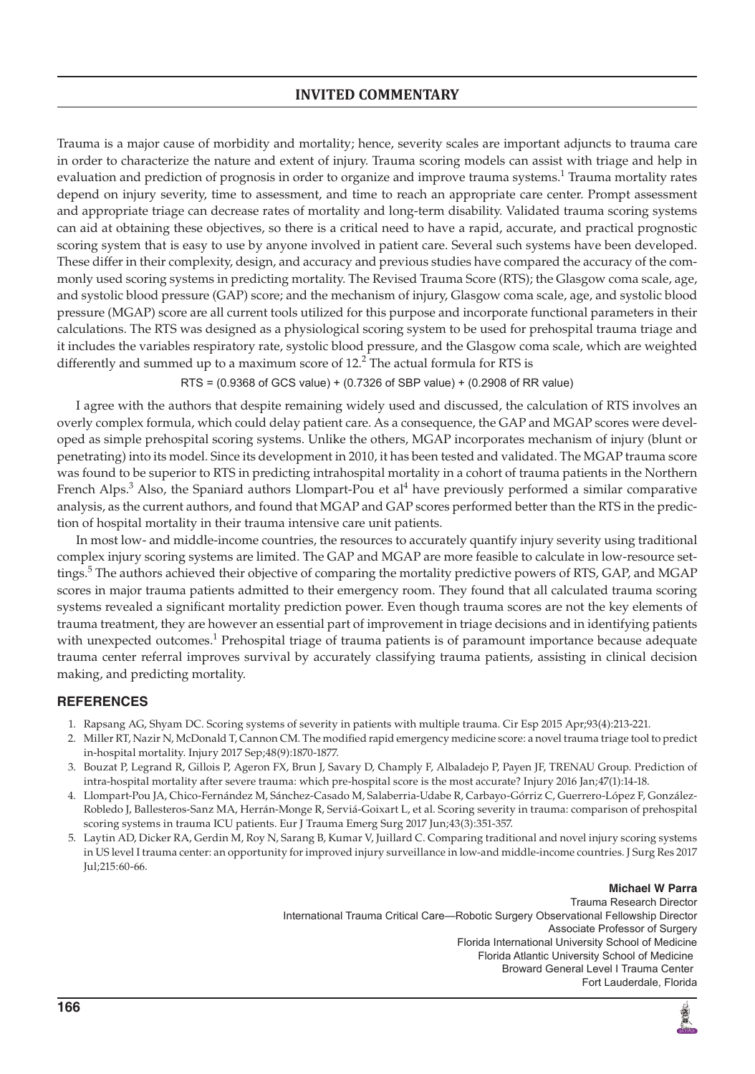# **INVITED COMMENTARY**

Trauma is a major cause of morbidity and mortality; hence, severity scales are important adjuncts to trauma care in order to characterize the nature and extent of injury. Trauma scoring models can assist with triage and help in evaluation and prediction of prognosis in order to organize and improve trauma systems.<sup>1</sup> Trauma mortality rates depend on injury severity, time to assessment, and time to reach an appropriate care center. Prompt assessment and appropriate triage can decrease rates of mortality and long-term disability. Validated trauma scoring systems can aid at obtaining these objectives, so there is a critical need to have a rapid, accurate, and practical prognostic scoring system that is easy to use by anyone involved in patient care. Several such systems have been developed. These differ in their complexity, design, and accuracy and previous studies have compared the accuracy of the commonly used scoring systems in predicting mortality. The Revised Trauma Score (RTS); the Glasgow coma scale, age, and systolic blood pressure (GAP) score; and the mechanism of injury, Glasgow coma scale, age, and systolic blood pressure (MGAP) score are all current tools utilized for this purpose and incorporate functional parameters in their calculations. The RTS was designed as a physiological scoring system to be used for prehospital trauma triage and it includes the variables respiratory rate, systolic blood pressure, and the Glasgow coma scale, which are weighted differently and summed up to a maximum score of  $12.<sup>2</sup>$  The actual formula for RTS is

RTS = (0.9368 of GCS value) + (0.7326 of SBP value) + (0.2908 of RR value)

I agree with the authors that despite remaining widely used and discussed, the calculation of RTS involves an overly complex formula, which could delay patient care. As a consequence, the GAP and MGAP scores were developed as simple prehospital scoring systems. Unlike the others, MGAP incorporates mechanism of injury (blunt or penetrating) into its model. Since its development in 2010, it has been tested and validated. The MGAP trauma score was found to be superior to RTS in predicting intrahospital mortality in a cohort of trauma patients in the Northern French Alps.<sup>3</sup> Also, the Spaniard authors Llompart-Pou et al<sup>4</sup> have previously performed a similar comparative analysis, as the current authors, and found that MGAP and GAP scores performed better than the RTS in the prediction of hospital mortality in their trauma intensive care unit patients.

In most low- and middle-income countries, the resources to accurately quantify injury severity using traditional complex injury scoring systems are limited. The GAP and MGAP are more feasible to calculate in low-resource settings.<sup>5</sup> The authors achieved their objective of comparing the mortality predictive powers of RTS, GAP, and MGAP scores in major trauma patients admitted to their emergency room. They found that all calculated trauma scoring systems revealed a significant mortality prediction power. Even though trauma scores are not the key elements of trauma treatment, they are however an essential part of improvement in triage decisions and in identifying patients with unexpected outcomes.<sup>1</sup> Prehospital triage of trauma patients is of paramount importance because adequate trauma center referral improves survival by accurately classifying trauma patients, assisting in clinical decision making, and predicting mortality.

## **REFERENCES**

- 1. Rapsang AG, Shyam DC. Scoring systems of severity in patients with multiple trauma. Cir Esp 2015 Apr;93(4):213-221.
- 2. Miller RT, Nazir N, McDonald T, Cannon CM. The modified rapid emergency medicine score: a novel trauma triage tool to predict in-hospital mortality. Injury 2017 Sep;48(9):1870-1877.
- 3. Bouzat P, Legrand R, Gillois P, Ageron FX, Brun J, Savary D, Champly F, Albaladejo P, Payen JF, TRENAU Group. Prediction of intra-hospital mortality after severe trauma: which pre-hospital score is the most accurate? Injury 2016 Jan;47(1):14-18.
- 4. Llompart-Pou JA, Chico-Fernández M, Sánchez-Casado M, Salaberria-Udabe R, Carbayo-Górriz C, Guerrero-López F, González-Robledo J, Ballesteros-Sanz MA, Herrán-Monge R, Serviá-Goixart L, et al. Scoring severity in trauma: comparison of prehospital scoring systems in trauma ICU patients. Eur J Trauma Emerg Surg 2017 Jun;43(3):351-357.
- 5. Laytin AD, Dicker RA, Gerdin M, Roy N, Sarang B, Kumar V, Juillard C. Comparing traditional and novel injury scoring systems in US level I trauma center: an opportunity for improved injury surveillance in low-and middle-income countries. J Surg Res 2017 Jul;215:60-66.

**Michael W Parra** Trauma Research Director International Trauma Critical Care—Robotic Surgery Observational Fellowship Director Associate Professor of Surgery Florida International University School of Medicine Florida Atlantic University School of Medicine Broward General Level I Trauma Center Fort Lauderdale, Florida

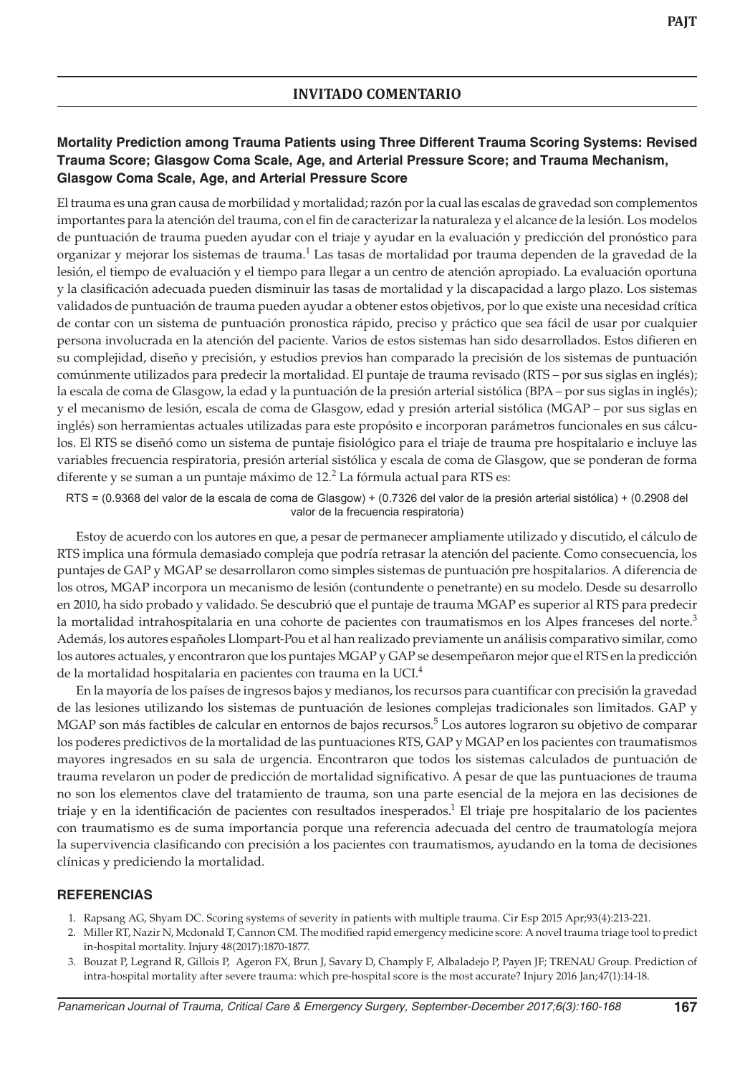## **INVITADO COMENTARIO**

## **Mortality Prediction among Trauma Patients using Three Different Trauma Scoring Systems: Revised Trauma Score; Glasgow Coma Scale, Age, and Arterial Pressure Score; and Trauma Mechanism, Glasgow Coma Scale, Age, and Arterial Pressure Score**

El trauma es una gran causa de morbilidad y mortalidad; razón por la cual las escalas de gravedad son complementos importantes para la atención del trauma, con el fin de caracterizar la naturaleza y el alcance de la lesión. Los modelos de puntuación de trauma pueden ayudar con el triaje y ayudar en la evaluación y predicción del pronóstico para organizar y mejorar los sistemas de trauma.<sup>1</sup> Las tasas de mortalidad por trauma dependen de la gravedad de la lesión, el tiempo de evaluación y el tiempo para llegar a un centro de atención apropiado. La evaluación oportuna y la clasificación adecuada pueden disminuir las tasas de mortalidad y la discapacidad a largo plazo. Los sistemas validados de puntuación de trauma pueden ayudar a obtener estos objetivos, por lo que existe una necesidad crítica de contar con un sistema de puntuación pronostica rápido, preciso y práctico que sea fácil de usar por cualquier persona involucrada en la atención del paciente. Varios de estos sistemas han sido desarrollados. Estos difieren en su complejidad, diseño y precisión, y estudios previos han comparado la precisión de los sistemas de puntuación comúnmente utilizados para predecir la mortalidad. El puntaje de trauma revisado (RTS – por sus siglas en inglés); la escala de coma de Glasgow, la edad y la puntuación de la presión arterial sistólica (BPA – por sus siglas in inglés); y el mecanismo de lesión, escala de coma de Glasgow, edad y presión arterial sistólica (MGAP – por sus siglas en inglés) son herramientas actuales utilizadas para este propósito e incorporan parámetros funcionales en sus cálculos. El RTS se diseñó como un sistema de puntaje fisiológico para el triaje de trauma pre hospitalario e incluye las variables frecuencia respiratoria, presión arterial sistólica y escala de coma de Glasgow, que se ponderan de forma diferente y se suman a un puntaje máximo de 12. $^2$  La fórmula actual para RTS es:

RTS = (0.9368 del valor de la escala de coma de Glasgow) + (0.7326 del valor de la presión arterial sistólica) + (0.2908 del valor de la frecuencia respiratoria)

Estoy de acuerdo con los autores en que, a pesar de permanecer ampliamente utilizado y discutido, el cálculo de RTS implica una fórmula demasiado compleja que podría retrasar la atención del paciente. Como consecuencia, los puntajes de GAP y MGAP se desarrollaron como simples sistemas de puntuación pre hospitalarios. A diferencia de los otros, MGAP incorpora un mecanismo de lesión (contundente o penetrante) en su modelo. Desde su desarrollo en 2010, ha sido probado y validado. Se descubrió que el puntaje de trauma MGAP es superior al RTS para predecir la mortalidad intrahospitalaria en una cohorte de pacientes con traumatismos en los Alpes franceses del norte.<sup>3</sup> Además, los autores españoles Llompart-Pou et al han realizado previamente un análisis comparativo similar, como los autores actuales, y encontraron que los puntajes MGAP y GAP se desempeñaron mejor que el RTS en la predicción de la mortalidad hospitalaria en pacientes con trauma en la UCI.<sup>4</sup>

En la mayoría de los países de ingresos bajos y medianos, los recursos para cuantificar con precisión la gravedad de las lesiones utilizando los sistemas de puntuación de lesiones complejas tradicionales son limitados. GAP y MGAP son más factibles de calcular en entornos de bajos recursos.<sup>5</sup> Los autores lograron su objetivo de comparar los poderes predictivos de la mortalidad de las puntuaciones RTS, GAP y MGAP en los pacientes con traumatismos mayores ingresados en su sala de urgencia. Encontraron que todos los sistemas calculados de puntuación de trauma revelaron un poder de predicción de mortalidad significativo. A pesar de que las puntuaciones de trauma no son los elementos clave del tratamiento de trauma, son una parte esencial de la mejora en las decisiones de triaje y en la identificación de pacientes con resultados inesperados.<sup>1</sup> El triaje pre hospitalario de los pacientes con traumatismo es de suma importancia porque una referencia adecuada del centro de traumatología mejora la supervivencia clasificando con precisión a los pacientes con traumatismos, ayudando en la toma de decisiones clínicas y prediciendo la mortalidad.

#### **Referencias**

- 1. Rapsang AG, Shyam DC. Scoring systems of severity in patients with multiple trauma. Cir Esp 2015 Apr;93(4):213-221.
- 2. Miller RT, Nazir N, Mcdonald T, Cannon CM. The modified rapid emergency medicine score: A novel trauma triage tool to predict in-hospital mortality. Injury 48(2017):1870-1877.
- 3. Bouzat P, Legrand R, Gillois P, Ageron FX, Brun J, Savary D, Champly F, Albaladejo P, Payen JF; TRENAU Group. Prediction of intra-hospital mortality after severe trauma: which pre-hospital score is the most accurate? Injury 2016 Jan;47(1):14-18.